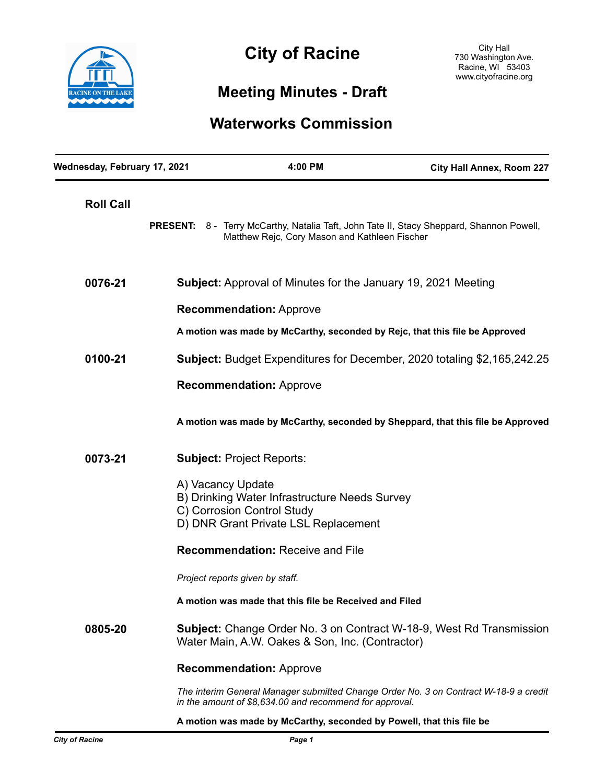

# City of Dooine **City of Racine**

# **Meeting Minutes - Draft**

# **Waterworks Commission**

| Wednesday, February 17, 2021 |                                                                      | 4:00 PM                                                                                                             | City Hall Annex, Room 227                                                                |
|------------------------------|----------------------------------------------------------------------|---------------------------------------------------------------------------------------------------------------------|------------------------------------------------------------------------------------------|
| <b>Roll Call</b>             |                                                                      | Matthew Rejc, Cory Mason and Kathleen Fischer                                                                       | PRESENT: 8 - Terry McCarthy, Natalia Taft, John Tate II, Stacy Sheppard, Shannon Powell, |
| 0076-21                      | <b>Subject:</b> Approval of Minutes for the January 19, 2021 Meeting |                                                                                                                     |                                                                                          |
|                              | <b>Recommendation: Approve</b>                                       |                                                                                                                     |                                                                                          |
|                              |                                                                      | A motion was made by McCarthy, seconded by Rejc, that this file be Approved                                         |                                                                                          |
| 0100-21                      |                                                                      |                                                                                                                     | <b>Subject:</b> Budget Expenditures for December, 2020 totaling \$2,165,242.25           |
|                              | <b>Recommendation: Approve</b>                                       |                                                                                                                     |                                                                                          |
|                              |                                                                      |                                                                                                                     | A motion was made by McCarthy, seconded by Sheppard, that this file be Approved          |
| 0073-21                      |                                                                      | <b>Subject: Project Reports:</b>                                                                                    |                                                                                          |
|                              | A) Vacancy Update                                                    | B) Drinking Water Infrastructure Needs Survey<br>C) Corrosion Control Study<br>D) DNR Grant Private LSL Replacement |                                                                                          |
|                              | <b>Recommendation: Receive and File</b>                              |                                                                                                                     |                                                                                          |
|                              |                                                                      | Project reports given by staff.                                                                                     |                                                                                          |
|                              |                                                                      | A motion was made that this file be Received and Filed                                                              |                                                                                          |
| 0805-20                      |                                                                      | Water Main, A.W. Oakes & Son, Inc. (Contractor)                                                                     | <b>Subject:</b> Change Order No. 3 on Contract W-18-9, West Rd Transmission              |
|                              |                                                                      | <b>Recommendation: Approve</b>                                                                                      |                                                                                          |
|                              |                                                                      | in the amount of \$8,634.00 and recommend for approval.                                                             | The interim General Manager submitted Change Order No. 3 on Contract W-18-9 a credit     |

**A motion was made by McCarthy, seconded by Powell, that this file be**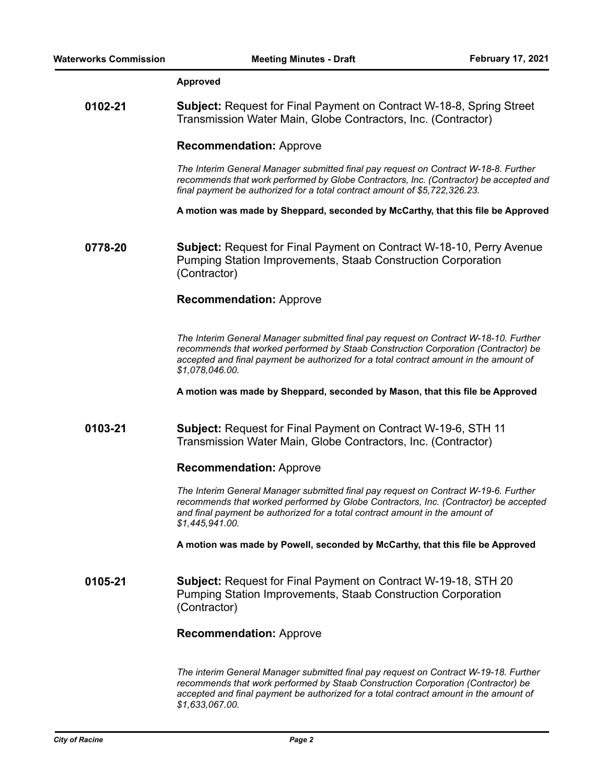### **Approved**

**0102-21 Subject:** Request for Final Payment on Contract W-18-8, Spring Street Transmission Water Main, Globe Contractors, Inc. (Contractor)

#### **Recommendation:** Approve

*The Interim General Manager submitted final pay request on Contract W-18-8. Further recommends that work performed by Globe Contractors, Inc. (Contractor) be accepted and final payment be authorized for a total contract amount of \$5,722,326.23.* 

**A motion was made by Sheppard, seconded by McCarthy, that this file be Approved**

**0778-20 Subject:** Request for Final Payment on Contract W-18-10, Perry Avenue Pumping Station Improvements, Staab Construction Corporation (Contractor)

## **Recommendation:** Approve

*The Interim General Manager submitted final pay request on Contract W-18-10. Further recommends that worked performed by Staab Construction Corporation (Contractor) be accepted and final payment be authorized for a total contract amount in the amount of \$1,078,046.00.* 

**A motion was made by Sheppard, seconded by Mason, that this file be Approved** 

# **0103-21 Subject:** Request for Final Payment on Contract W-19-6, STH 11 Transmission Water Main, Globe Contractors, Inc. (Contractor)

## **Recommendation:** Approve

*The Interim General Manager submitted final pay request on Contract W-19-6. Further recommends that worked performed by Globe Contractors, Inc. (Contractor) be accepted and final payment be authorized for a total contract amount in the amount of \$1,445,941.00.* 

**A motion was made by Powell, seconded by McCarthy, that this file be Approved** 

**0105-21 Subject:** Request for Final Payment on Contract W-19-18, STH 20 Pumping Station Improvements, Staab Construction Corporation (Contractor)

## **Recommendation:** Approve

*The interim General Manager submitted final pay request on Contract W-19-18. Further recommends that work performed by Staab Construction Corporation (Contractor) be accepted and final payment be authorized for a total contract amount in the amount of \$1,633,067.00.*